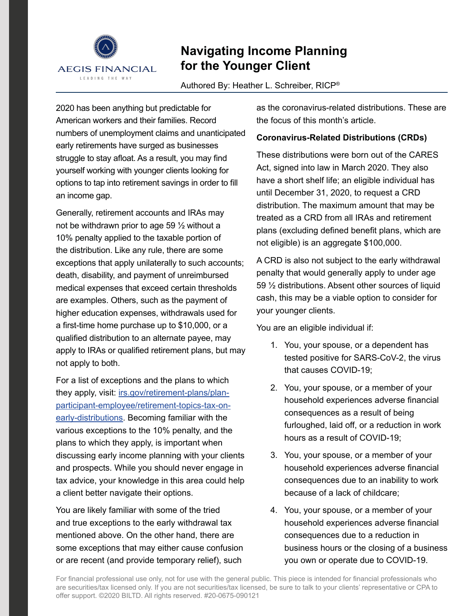

# **Navigating Income Planning for the Younger Client**

Authored By: Heather L. Schreiber, RICP®

2020 has been anything but predictable for American workers and their families. Record numbers of unemployment claims and unanticipated early retirements have surged as businesses struggle to stay afloat. As a result, you may find yourself working with younger clients looking for options to tap into retirement savings in order to fill an income gap.

Generally, retirement accounts and IRAs may not be withdrawn prior to age 59 ½ without a 10% penalty applied to the taxable portion of the distribution. Like any rule, there are some exceptions that apply unilaterally to such accounts; death, disability, and payment of unreimbursed medical expenses that exceed certain thresholds are examples. Others, such as the payment of higher education expenses, withdrawals used for a first-time home purchase up to \$10,000, or a qualified distribution to an alternate payee, may apply to IRAs or qualified retirement plans, but may not apply to both.

For a list of exceptions and the plans to which they apply, visit: [irs.gov/retirement-plans/plan](https://www.irs.gov/retirement-plans/plan-participant-employee/retirement-topics-tax-on-early-distributions)[participant-employee/retirement-topics-tax-on](https://www.irs.gov/retirement-plans/plan-participant-employee/retirement-topics-tax-on-early-distributions)[early-distributions](https://www.irs.gov/retirement-plans/plan-participant-employee/retirement-topics-tax-on-early-distributions). Becoming familiar with the various exceptions to the 10% penalty, and the plans to which they apply, is important when discussing early income planning with your clients and prospects. While you should never engage in tax advice, your knowledge in this area could help a client better navigate their options.

You are likely familiar with some of the tried and true exceptions to the early withdrawal tax mentioned above. On the other hand, there are some exceptions that may either cause confusion or are recent (and provide temporary relief), such

as the coronavirus-related distributions. These are the focus of this month's article.

### **Coronavirus-Related Distributions (CRDs)**

These distributions were born out of the CARES Act, signed into law in March 2020. They also have a short shelf life; an eligible individual has until December 31, 2020, to request a CRD distribution. The maximum amount that may be treated as a CRD from all IRAs and retirement plans (excluding defined benefit plans, which are not eligible) is an aggregate \$100,000.

A CRD is also not subject to the early withdrawal penalty that would generally apply to under age 59 ½ distributions. Absent other sources of liquid cash, this may be a viable option to consider for your younger clients.

You are an eligible individual if:

- 1. You, your spouse, or a dependent has tested positive for SARS-CoV-2, the virus that causes COVID-19;
- 2. You, your spouse, or a member of your household experiences adverse financial consequences as a result of being furloughed, laid off, or a reduction in work hours as a result of COVID-19;
- 3. You, your spouse, or a member of your household experiences adverse financial consequences due to an inability to work because of a lack of childcare;
- 4. You, your spouse, or a member of your household experiences adverse financial consequences due to a reduction in business hours or the closing of a business you own or operate due to COVID-19.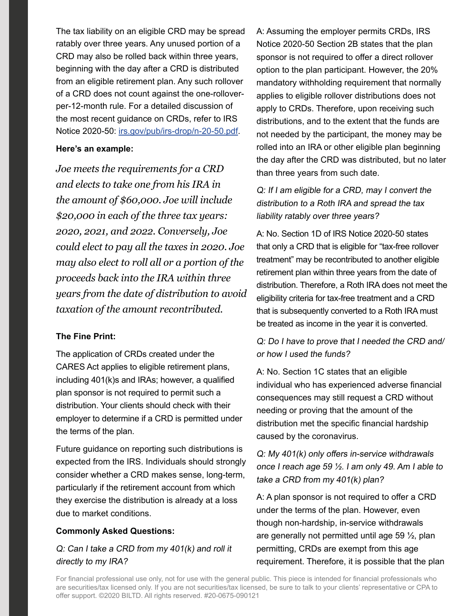The tax liability on an eligible CRD may be spread ratably over three years. Any unused portion of a CRD may also be rolled back within three years, beginning with the day after a CRD is distributed from an eligible retirement plan. Any such rollover of a CRD does not count against the one-rolloverper-12-month rule. For a detailed discussion of the most recent guidance on CRDs, refer to IRS Notice 2020-50: [irs.gov/pub/irs-drop/n-20-50.pdf](https://www.irs.gov/pub/irs-drop/n-20-50.pdf).

#### **Here's an example:**

*Joe meets the requirements for a CRD and elects to take one from his IRA in the amount of \$60,000. Joe will include \$20,000 in each of the three tax years: 2020, 2021, and 2022. Conversely, Joe could elect to pay all the taxes in 2020. Joe may also elect to roll all or a portion of the proceeds back into the IRA within three years from the date of distribution to avoid taxation of the amount recontributed.*

#### **The Fine Print:**

The application of CRDs created under the CARES Act applies to eligible retirement plans, including 401(k)s and IRAs; however, a qualified plan sponsor is not required to permit such a distribution. Your clients should check with their employer to determine if a CRD is permitted under the terms of the plan.

Future guidance on reporting such distributions is expected from the IRS. Individuals should strongly consider whether a CRD makes sense, long-term, particularly if the retirement account from which they exercise the distribution is already at a loss due to market conditions.

# **Commonly Asked Questions:**

Q: Can I take a CRD from my 401(k) and roll it directly to my IRA?

A: Assuming the employer permits CRDs, IRS Notice 2020-50 Section 2B states that the plan sponsor is not required to offer a direct rollover option to the plan participant. However, the 20% mandatory withholding requirement that normally applies to eligible rollover distributions does not apply to CRDs. Therefore, upon receiving such distributions, and to the extent that the funds are not needed by the participant, the money may be rolled into an IRA or other eligible plan beginning the day after the CRD was distributed, but no later than three years from such date.

Q: If I am eligible for a CRD, may I convert the distribution to a Roth IRA and spread the tax liability ratably over three years?

A: No. Section 1D of IRS Notice 2020-50 states that only a CRD that is eligible for "tax-free rollover treatment" may be recontributed to another eligible retirement plan within three years from the date of distribution. Therefore, a Roth IRA does not meet the eligibility criteria for tax-free treatment and a CRD that is subsequently converted to a Roth IRA must be treated as income in the year it is converted.

Q: Do I have to prove that I needed the CRD and/ or how I used the funds?

A: No. Section 1C states that an eligible individual who has experienced adverse financial consequences may still request a CRD without needing or proving that the amount of the distribution met the specific financial hardship caused by the coronavirus.

Q: My 401(k) only offers in-service withdrawals once I reach age 59 ½. I am only 49. Am I able to take a CRD from my 401(k) plan?

A: A plan sponsor is not required to offer a CRD under the terms of the plan. However, even though non-hardship, in-service withdrawals are generally not permitted until age 59  $\frac{1}{2}$ , plan permitting, CRDs are exempt from this age requirement. Therefore, it is possible that the plan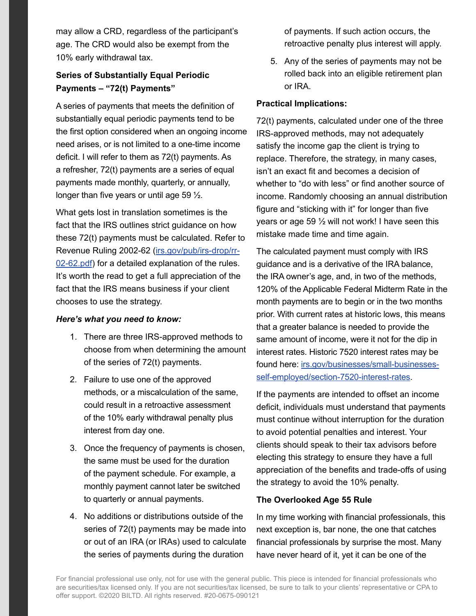may allow a CRD, regardless of the participant's age. The CRD would also be exempt from the 10% early withdrawal tax.

# **Series of Substantially Equal Periodic Payments – "72(t) Payments"**

A series of payments that meets the definition of substantially equal periodic payments tend to be the first option considered when an ongoing income need arises, or is not limited to a one-time income deficit. I will refer to them as 72(t) payments. As a refresher, 72(t) payments are a series of equal payments made monthly, quarterly, or annually, longer than five years or until age 59 ½.

What gets lost in translation sometimes is the fact that the IRS outlines strict guidance on how these 72(t) payments must be calculated. Refer to Revenue Ruling 2002-62 [\(irs.gov/pub/irs-drop/rr-](https://www.irs.gov/pub/irs-drop/rr-02-62.pdf)[02-62.pdf](https://www.irs.gov/pub/irs-drop/rr-02-62.pdf)) for a detailed explanation of the rules. It's worth the read to get a full appreciation of the fact that the IRS means business if your client chooses to use the strategy.

#### *Here's what you need to know:*

- 1. There are three IRS-approved methods to choose from when determining the amount of the series of 72(t) payments.
- 2. Failure to use one of the approved methods, or a miscalculation of the same, could result in a retroactive assessment of the 10% early withdrawal penalty plus interest from day one.
- 3. Once the frequency of payments is chosen, the same must be used for the duration of the payment schedule. For example, a monthly payment cannot later be switched to quarterly or annual payments.
- 4. No additions or distributions outside of the series of 72(t) payments may be made into or out of an IRA (or IRAs) used to calculate the series of payments during the duration

of payments. If such action occurs, the retroactive penalty plus interest will apply.

5. Any of the series of payments may not be rolled back into an eligible retirement plan or IRA.

#### **Practical Implications:**

72(t) payments, calculated under one of the three IRS-approved methods, may not adequately satisfy the income gap the client is trying to replace. Therefore, the strategy, in many cases, isn't an exact fit and becomes a decision of whether to "do with less" or find another source of income. Randomly choosing an annual distribution figure and "sticking with it" for longer than five years or age 59  $\frac{1}{2}$  will not work! I have seen this mistake made time and time again.

The calculated payment must comply with IRS guidance and is a derivative of the IRA balance, the IRA owner's age, and, in two of the methods, 120% of the Applicable Federal Midterm Rate in the month payments are to begin or in the two months prior. With current rates at historic lows, this means that a greater balance is needed to provide the same amount of income, were it not for the dip in interest rates. Historic 7520 interest rates may be found here: [irs.gov/businesses/small-businesses](https://www.irs.gov/businesses/small-businesses-self-employed/section-7520-interest-rates)[self-employed/section-7520-interest-rates](https://www.irs.gov/businesses/small-businesses-self-employed/section-7520-interest-rates).

If the payments are intended to offset an income deficit, individuals must understand that payments must continue without interruption for the duration to avoid potential penalties and interest. Your clients should speak to their tax advisors before electing this strategy to ensure they have a full appreciation of the benefits and trade-offs of using the strategy to avoid the 10% penalty.

# **The Overlooked Age 55 Rule**

In my time working with financial professionals, this next exception is, bar none, the one that catches financial professionals by surprise the most. Many have never heard of it, yet it can be one of the